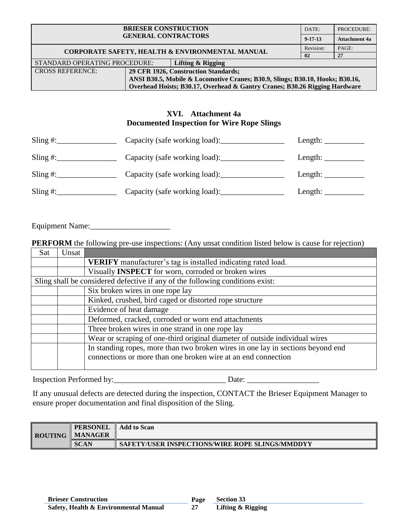| <b>BRIESER CONSTRUCTION</b><br><b>GENERAL CONTRACTORS</b> |                                                                               |                                                 | DATE:          | PROCEDURE:           |
|-----------------------------------------------------------|-------------------------------------------------------------------------------|-------------------------------------------------|----------------|----------------------|
|                                                           |                                                                               |                                                 | $9 - 17 - 13$  | <b>Attachment 4a</b> |
|                                                           |                                                                               | CORPORATE SAFETY, HEALTH & ENVIRONMENTAL MANUAL | Revision:      | PAGE:                |
|                                                           |                                                                               |                                                 | 0 <sub>2</sub> | 27                   |
| STANDARD OPERATING PROCEDURE:                             |                                                                               | Lifting & Rigging                               |                |                      |
| <b>CROSS REFERENCE:</b>                                   | 29 CFR 1926, Construction Standards;                                          |                                                 |                |                      |
|                                                           | ANSI B30.5, Mobile & Locomotive Cranes; B30.9, Slings; B30.10, Hooks; B30.16, |                                                 |                |                      |
|                                                           | Overhead Hoists; B30.17, Overhead & Gantry Cranes; B30.26 Rigging Hardware    |                                                 |                |                      |

# **XVI. Attachment 4a Documented Inspection for Wire Rope Slings**

| Sling $\#$ : | Capacity (safe working load): | Length: $\qquad$        |
|--------------|-------------------------------|-------------------------|
| Sling $\#$ : |                               | Length: $\qquad \qquad$ |
| Sling $\#$ : |                               | Length: $\_\_$          |
| Sling $\#$ : | Capacity (safe working load): | Length: $\_\_$          |

Equipment Name:\_\_\_\_\_\_\_\_\_\_\_\_\_\_\_\_\_\_\_\_

**PERFORM** the following pre-use inspections: (Any unsat condition listed below is cause for rejection)

| Sat | Unsat                                                                           |                                                                               |  |  |  |  |  |  |
|-----|---------------------------------------------------------------------------------|-------------------------------------------------------------------------------|--|--|--|--|--|--|
|     |                                                                                 | <b>VERIFY</b> manufacturer's tag is installed indicating rated load.          |  |  |  |  |  |  |
|     |                                                                                 | Visually INSPECT for worn, corroded or broken wires                           |  |  |  |  |  |  |
|     |                                                                                 | Sling shall be considered defective if any of the following conditions exist: |  |  |  |  |  |  |
|     |                                                                                 | Six broken wires in one rope lay                                              |  |  |  |  |  |  |
|     |                                                                                 | Kinked, crushed, bird caged or distorted rope structure                       |  |  |  |  |  |  |
|     | Evidence of heat damage                                                         |                                                                               |  |  |  |  |  |  |
|     |                                                                                 | Deformed, cracked, corroded or worn end attachments                           |  |  |  |  |  |  |
|     |                                                                                 | Three broken wires in one strand in one rope lay                              |  |  |  |  |  |  |
|     |                                                                                 | Wear or scraping of one-third original diameter of outside individual wires   |  |  |  |  |  |  |
|     | In standing ropes, more than two broken wires in one lay in sections beyond end |                                                                               |  |  |  |  |  |  |
|     |                                                                                 | connections or more than one broken wire at an end connection                 |  |  |  |  |  |  |
|     |                                                                                 |                                                                               |  |  |  |  |  |  |

Inspection Performed by:\_\_\_\_\_\_\_\_\_\_\_\_\_\_\_\_\_\_\_\_\_\_\_\_\_\_\_\_ Date: \_\_\_\_\_\_\_\_\_\_\_\_\_\_\_\_\_\_

If any unusual defects are detected during the inspection, CONTACT the Brieser Equipment Manager to ensure proper documentation and final disposition of the Sling.

|  | <b>PERSONEL</b><br><b>ROUTING MANAGER</b> | <b>Add to Scan</b>                                |
|--|-------------------------------------------|---------------------------------------------------|
|  | <b>SCAN</b>                               | ' SAFETY/USER INSPECTIONS/WIRE ROPE SLINGS/MMDDYY |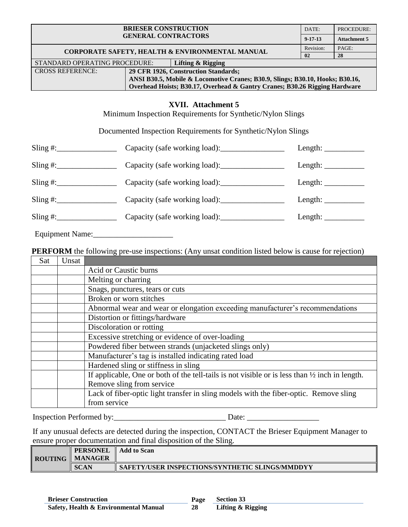|                                                                   | DATE:                                                                                                                                                    | PROCEDURE:                                                                    |                                                                                                  |                       |  |  |
|-------------------------------------------------------------------|----------------------------------------------------------------------------------------------------------------------------------------------------------|-------------------------------------------------------------------------------|--------------------------------------------------------------------------------------------------|-----------------------|--|--|
|                                                                   | $9 - 17 - 13$                                                                                                                                            | <b>Attachment 5</b>                                                           |                                                                                                  |                       |  |  |
|                                                                   |                                                                                                                                                          | <b>CORPORATE SAFETY, HEALTH &amp; ENVIRONMENTAL MANUAL</b>                    | Revision:                                                                                        | PAGE:                 |  |  |
|                                                                   |                                                                                                                                                          |                                                                               | 02                                                                                               | 28                    |  |  |
| STANDARD OPERATING PROCEDURE:   Lifting & Rigging                 |                                                                                                                                                          |                                                                               |                                                                                                  |                       |  |  |
| <b>CROSS REFERENCE:</b>                                           |                                                                                                                                                          | 29 CFR 1926, Construction Standards;                                          |                                                                                                  |                       |  |  |
|                                                                   |                                                                                                                                                          | ANSI B30.5, Mobile & Locomotive Cranes; B30.9, Slings; B30.10, Hooks; B30.16, |                                                                                                  |                       |  |  |
|                                                                   |                                                                                                                                                          | Overhead Hoists; B30.17, Overhead & Gantry Cranes; B30.26 Rigging Hardware    |                                                                                                  |                       |  |  |
|                                                                   | <b>XVII.</b> Attachment 5<br>Minimum Inspection Requirements for Synthetic/Nylon Slings<br>Documented Inspection Requirements for Synthetic/Nylon Slings |                                                                               |                                                                                                  |                       |  |  |
| $Sling \#$ :                                                      |                                                                                                                                                          |                                                                               | Length: $\frac{1}{\sqrt{1-\frac{1}{2}} \cdot \frac{1}{\sqrt{1-\frac{1}{2}} \cdot \frac{1}{2}}}}$ |                       |  |  |
| Sling #: $\frac{1}{2}$ Capacity (safe working load):              |                                                                                                                                                          |                                                                               |                                                                                                  | Length: $\frac{1}{2}$ |  |  |
| $Sling \#:\_$<br>Capacity (safe working load): __________________ |                                                                                                                                                          |                                                                               | Length: $\frac{1}{2}$                                                                            |                       |  |  |
| Sling #: Capacity (safe working load):                            |                                                                                                                                                          |                                                                               | Length: $\frac{1}{2}$                                                                            |                       |  |  |

Sling #:\_\_\_\_\_\_\_\_\_\_\_\_\_\_\_ Capacity (safe working load):\_\_\_\_\_\_\_\_\_\_\_\_\_\_\_\_ Length: \_\_\_\_\_\_\_\_\_\_

Equipment Name:\_\_\_\_\_\_\_\_\_\_\_\_\_\_\_\_\_\_\_\_

**PERFORM** the following pre-use inspections: (Any unsat condition listed below is cause for rejection)

| Sat | Unsat |                                                                                                           |  |  |  |  |  |
|-----|-------|-----------------------------------------------------------------------------------------------------------|--|--|--|--|--|
|     |       | Acid or Caustic burns                                                                                     |  |  |  |  |  |
|     |       | Melting or charring                                                                                       |  |  |  |  |  |
|     |       | Snags, punctures, tears or cuts                                                                           |  |  |  |  |  |
|     |       | Broken or worn stitches                                                                                   |  |  |  |  |  |
|     |       | Abnormal wear and wear or elongation exceeding manufacturer's recommendations                             |  |  |  |  |  |
|     |       | Distortion or fittings/hardware                                                                           |  |  |  |  |  |
|     |       | Discoloration or rotting                                                                                  |  |  |  |  |  |
|     |       | Excessive stretching or evidence of over-loading                                                          |  |  |  |  |  |
|     |       | Powdered fiber between strands (unjacketed slings only)                                                   |  |  |  |  |  |
|     |       | Manufacturer's tag is installed indicating rated load                                                     |  |  |  |  |  |
|     |       | Hardened sling or stiffness in sling                                                                      |  |  |  |  |  |
|     |       | If applicable, One or both of the tell-tails is not visible or is less than $\frac{1}{2}$ inch in length. |  |  |  |  |  |
|     |       | Remove sling from service                                                                                 |  |  |  |  |  |
|     |       | Lack of fiber-optic light transfer in sling models with the fiber-optic. Remove sling                     |  |  |  |  |  |
|     |       | from service                                                                                              |  |  |  |  |  |

Inspection Performed by:\_\_\_\_\_\_\_\_\_\_\_\_\_\_\_\_\_\_\_\_\_\_\_\_\_\_\_\_ Date: \_\_\_\_\_\_\_\_\_\_\_\_\_\_\_\_\_\_

If any unusual defects are detected during the inspection, CONTACT the Brieser Equipment Manager to ensure proper documentation and final disposition of the Sling.

| ROUTING | <b>PERSONEL</b><br><b>MANAGER</b> | <b>Add to Scan</b>                              |
|---------|-----------------------------------|-------------------------------------------------|
|         | <b>SCAN</b>                       | SAFETY/USER INSPECTIONS/SYNTHETIC SLINGS/MMDDYY |

**28**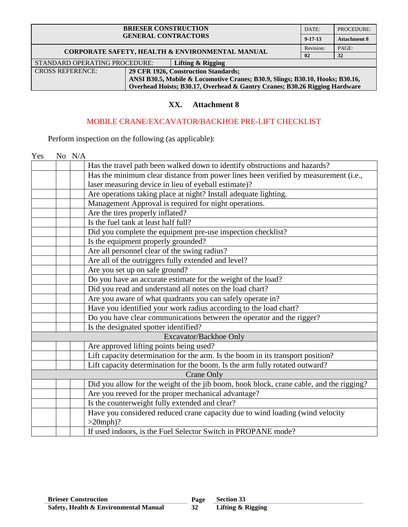| <b>BRIESER CONSTRUCTION</b><br><b>GENERAL CONTRACTORS</b>       |                                                                               |                                                 | DATE:         | PROCEDURE:          |
|-----------------------------------------------------------------|-------------------------------------------------------------------------------|-------------------------------------------------|---------------|---------------------|
|                                                                 |                                                                               |                                                 | $9 - 17 - 13$ | <b>Attachment 8</b> |
|                                                                 |                                                                               | CORPORATE SAFETY, HEALTH & ENVIRONMENTAL MANUAL | Revision:     | PAGE:               |
|                                                                 |                                                                               |                                                 | 02            | 32                  |
| STANDARD OPERATING PROCEDURE:                                   |                                                                               | Lifting & Rigging                               |               |                     |
| <b>CROSS REFERENCE:</b><br>29 CFR 1926, Construction Standards; |                                                                               |                                                 |               |                     |
|                                                                 | ANSI B30.5, Mobile & Locomotive Cranes; B30.9, Slings; B30.10, Hooks; B30.16, |                                                 |               |                     |
|                                                                 | Overhead Hoists; B30.17, Overhead & Gantry Cranes; B30.26 Rigging Hardware    |                                                 |               |                     |

### **XX. Attachment 8**

### MOBILE CRANE/EXCAVATOR/BACKHOE PRE-LIFT CHECKLIST

Perform inspection on the following (as applicable):

Yes No N/A Has the travel path been walked down to identify obstructions and hazards? Has the minimum clear distance from power lines been verified by measurement (i.e., laser measuring device in lieu of eyeball estimate)? Are operations taking place at night? Install adequate lighting. Management Approval is required for night operations. Are the tires properly inflated? Is the fuel tank at least half full? Did you complete the equipment pre-use inspection checklist? Is the equipment properly grounded? Are all personnel clear of the swing radius? Are all of the outriggers fully extended and level? Are you set up on safe ground? Do you have an accurate estimate for the weight of the load? Did you read and understand all notes on the load chart? Are you aware of what quadrants you can safely operate in? Have you identified your work radius according to the load chart? Do you have clear communications between the operator and the rigger? Is the designated spotter identified? Excavator/Backhoe Only Are approved lifting points being used? Lift capacity determination for the arm. Is the boom in its transport position? Lift capacity determination for the boom. Is the arm fully rotated outward? Crane Only Did you allow for the weight of the jib boom, hook block, crane cable, and the rigging? Are you reeved for the proper mechanical advantage? Is the counterweight fully extended and clear? Have you considered reduced crane capacity due to wind loading (wind velocity  $>20$ mph $)$ ? If used indoors, is the Fuel Selector Switch in PROPANE mode?

**32 Section 33**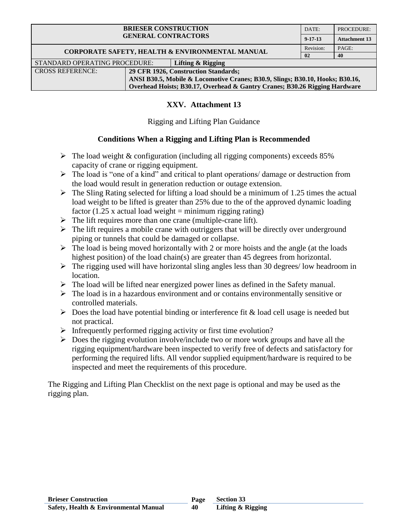| <b>BRIESER CONSTRUCTION</b><br><b>GENERAL CONTRACTORS</b> |                                                                               |                   | DATE:         | PROCEDURE:           |
|-----------------------------------------------------------|-------------------------------------------------------------------------------|-------------------|---------------|----------------------|
|                                                           |                                                                               |                   | $9 - 17 - 13$ | <b>Attachment 13</b> |
|                                                           | CORPORATE SAFETY, HEALTH & ENVIRONMENTAL MANUAL                               | Revision:         | PAGE:         |                      |
|                                                           |                                                                               |                   | 02            | 40                   |
| STANDARD OPERATING PROCEDURE:                             |                                                                               | Lifting & Rigging |               |                      |
| <b>CROSS REFERENCE:</b>                                   | 29 CFR 1926, Construction Standards;                                          |                   |               |                      |
|                                                           | ANSI B30.5, Mobile & Locomotive Cranes; B30.9, Slings; B30.10, Hooks; B30.16, |                   |               |                      |
|                                                           | Overhead Hoists; B30.17, Overhead & Gantry Cranes; B30.26 Rigging Hardware    |                   |               |                      |

# **XXV. Attachment 13**

## Rigging and Lifting Plan Guidance

# **Conditions When a Rigging and Lifting Plan is Recommended**

- $\triangleright$  The load weight & configuration (including all rigging components) exceeds 85% capacity of crane or rigging equipment.
- $\triangleright$  The load is "one of a kind" and critical to plant operations/ damage or destruction from the load would result in generation reduction or outage extension.
- $\triangleright$  The Sling Rating selected for lifting a load should be a minimum of 1.25 times the actual load weight to be lifted is greater than 25% due to the of the approved dynamic loading factor (1.25 x actual load weight  $=$  minimum rigging rating)
- $\triangleright$  The lift requires more than one crane (multiple-crane lift).
- $\triangleright$  The lift requires a mobile crane with outriggers that will be directly over underground piping or tunnels that could be damaged or collapse.
- $\triangleright$  The load is being moved horizontally with 2 or more hoists and the angle (at the loads highest position) of the load chain(s) are greater than 45 degrees from horizontal.
- $\triangleright$  The rigging used will have horizontal sling angles less than 30 degrees/ low headroom in location.
- $\triangleright$  The load will be lifted near energized power lines as defined in the Safety manual.
- $\triangleright$  The load is in a hazardous environment and or contains environmentally sensitive or controlled materials.
- $\triangleright$  Does the load have potential binding or interference fit & load cell usage is needed but not practical.
- $\triangleright$  Infrequently performed rigging activity or first time evolution?
- $\triangleright$  Does the rigging evolution involve/include two or more work groups and have all the rigging equipment/hardware been inspected to verify free of defects and satisfactory for performing the required lifts. All vendor supplied equipment/hardware is required to be inspected and meet the requirements of this procedure.

The Rigging and Lifting Plan Checklist on the next page is optional and may be used as the rigging plan.

**40**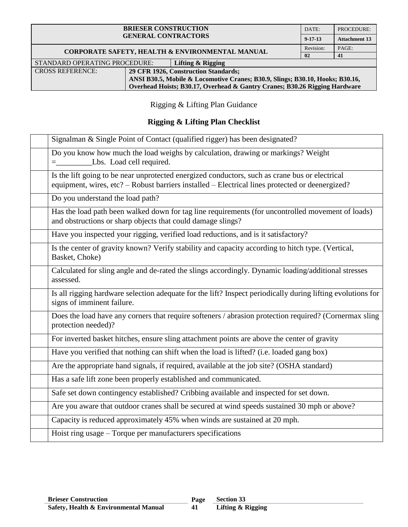| <b>BRIESER CONSTRUCTION</b><br><b>GENERAL CONTRACTORS</b> |                                                                               |                   | DATE:          | PROCEDURE:           |
|-----------------------------------------------------------|-------------------------------------------------------------------------------|-------------------|----------------|----------------------|
|                                                           |                                                                               |                   | $9 - 17 - 13$  | <b>Attachment 13</b> |
| CORPORATE SAFETY, HEALTH & ENVIRONMENTAL MANUAL           |                                                                               |                   | Revision:      | PAGE:                |
|                                                           |                                                                               |                   | 0 <sub>2</sub> | 41                   |
| STANDARD OPERATING PROCEDURE:                             |                                                                               | Lifting & Rigging |                |                      |
| <b>CROSS REFERENCE:</b>                                   | 29 CFR 1926, Construction Standards;                                          |                   |                |                      |
|                                                           | ANSI B30.5, Mobile & Locomotive Cranes; B30.9, Slings; B30.10, Hooks; B30.16, |                   |                |                      |
|                                                           | Overhead Hoists; B30.17, Overhead & Gantry Cranes; B30.26 Rigging Hardware    |                   |                |                      |

Rigging & Lifting Plan Guidance

# **Rigging & Lifting Plan Checklist**

| Signalman & Single Point of Contact (qualified rigger) has been designated?                                                                                                                       |
|---------------------------------------------------------------------------------------------------------------------------------------------------------------------------------------------------|
| Do you know how much the load weighs by calculation, drawing or markings? Weight<br>Lbs. Load cell required.                                                                                      |
| Is the lift going to be near unprotected energized conductors, such as crane bus or electrical<br>equipment, wires, etc? – Robust barriers installed – Electrical lines protected or deenergized? |
| Do you understand the load path?                                                                                                                                                                  |
| Has the load path been walked down for tag line requirements (for uncontrolled movement of loads)<br>and obstructions or sharp objects that could damage slings?                                  |
| Have you inspected your rigging, verified load reductions, and is it satisfactory?                                                                                                                |
| Is the center of gravity known? Verify stability and capacity according to hitch type. (Vertical,<br>Basket, Choke)                                                                               |
| Calculated for sling angle and de-rated the slings accordingly. Dynamic loading/additional stresses<br>assessed.                                                                                  |
| Is all rigging hardware selection adequate for the lift? Inspect periodically during lifting evolutions for<br>signs of imminent failure.                                                         |
| Does the load have any corners that require softeners / abrasion protection required? (Cornermax sling<br>protection needed)?                                                                     |
| For inverted basket hitches, ensure sling attachment points are above the center of gravity                                                                                                       |
| Have you verified that nothing can shift when the load is lifted? (i.e. loaded gang box)                                                                                                          |
| Are the appropriate hand signals, if required, available at the job site? (OSHA standard)                                                                                                         |
| Has a safe lift zone been properly established and communicated.                                                                                                                                  |
| Safe set down contingency established? Cribbing available and inspected for set down.                                                                                                             |
| Are you aware that outdoor cranes shall be secured at wind speeds sustained 30 mph or above?                                                                                                      |
| Capacity is reduced approximately 45% when winds are sustained at 20 mph.                                                                                                                         |
| Hoist ring usage - Torque per manufacturers specifications                                                                                                                                        |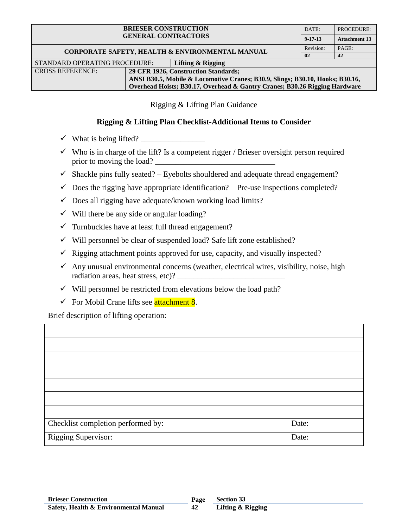| <b>BRIESER CONSTRUCTION</b>                     |                                                                               |                                      | DATE:         | PROCEDURE:           |
|-------------------------------------------------|-------------------------------------------------------------------------------|--------------------------------------|---------------|----------------------|
| <b>GENERAL CONTRACTORS</b>                      |                                                                               |                                      | $9 - 17 - 13$ | <b>Attachment 13</b> |
| CORPORATE SAFETY, HEALTH & ENVIRONMENTAL MANUAL |                                                                               |                                      | Revision:     | PAGE:                |
|                                                 |                                                                               |                                      |               | 42                   |
| STANDARD OPERATING PROCEDURE:                   |                                                                               | Lifting & Rigging                    |               |                      |
| <b>CROSS REFERENCE:</b>                         |                                                                               | 29 CFR 1926, Construction Standards; |               |                      |
|                                                 | ANSI B30.5, Mobile & Locomotive Cranes; B30.9, Slings; B30.10, Hooks; B30.16, |                                      |               |                      |
|                                                 | Overhead Hoists; B30.17, Overhead & Gantry Cranes; B30.26 Rigging Hardware    |                                      |               |                      |

Rigging & Lifting Plan Guidance

### **Rigging & Lifting Plan Checklist-Additional Items to Consider**

- What is being lifted? \_\_\_\_\_\_\_\_\_\_\_\_\_\_\_\_
- $\checkmark$  Who is in charge of the lift? Is a competent rigger / Brieser oversight person required prior to moving the load?
- $\checkmark$  Shackle pins fully seated? Eyebolts shouldered and adequate thread engagement?
- $\checkmark$  Does the rigging have appropriate identification? Pre-use inspections completed?
- $\checkmark$  Does all rigging have adequate/known working load limits?
- $\checkmark$  Will there be any side or angular loading?
- $\checkmark$  Turnbuckles have at least full thread engagement?
- $\checkmark$  Will personnel be clear of suspended load? Safe lift zone established?
- $\checkmark$  Rigging attachment points approved for use, capacity, and visually inspected?
- $\checkmark$  Any unusual environmental concerns (weather, electrical wires, visibility, noise, high radiation areas, heat stress, etc)?
- $\checkmark$  Will personnel be restricted from elevations below the load path?
- $\checkmark$  For Mobil Crane lifts see **attachment 8**.

Brief description of lifting operation:

| Checklist completion performed by: | Date: |
|------------------------------------|-------|
| Rigging Supervisor:                | Date: |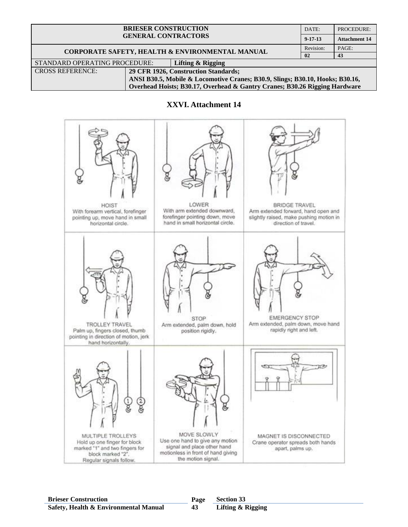| <b>BRIESER CONSTRUCTION</b><br><b>GENERAL CONTRACTORS</b>                     |  | DATE:                                | PROCEDURE:           |       |
|-------------------------------------------------------------------------------|--|--------------------------------------|----------------------|-------|
|                                                                               |  | $9 - 17 - 13$                        | <b>Attachment 14</b> |       |
| CORPORATE SAFETY, HEALTH & ENVIRONMENTAL MANUAL                               |  |                                      | Revision:            | PAGE: |
|                                                                               |  | $\mathbf{02}$                        | 43                   |       |
| STANDARD OPERATING PROCEDURE:                                                 |  | Lifting & Rigging                    |                      |       |
| <b>CROSS REFERENCE:</b>                                                       |  | 29 CFR 1926, Construction Standards; |                      |       |
| ANSI B30.5, Mobile & Locomotive Cranes; B30.9, Slings; B30.10, Hooks; B30.16, |  |                                      |                      |       |
| Overhead Hoists; B30.17, Overhead & Gantry Cranes; B30.26 Rigging Hardware    |  |                                      |                      |       |

### **XXVI. Attachment 14**



**43**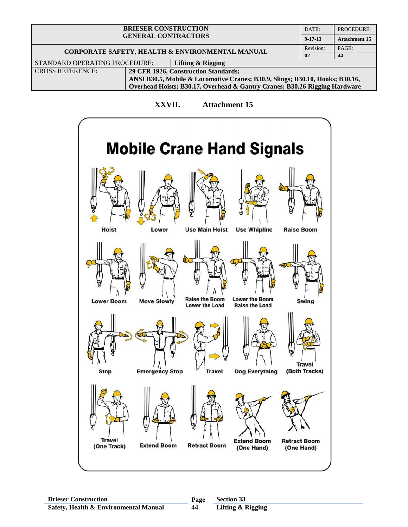| <b>BRIESER CONSTRUCTION</b><br><b>GENERAL CONTRACTORS</b>                     |  | DATE:                                | PROCEDURE:           |  |
|-------------------------------------------------------------------------------|--|--------------------------------------|----------------------|--|
|                                                                               |  | $9 - 17 - 13$                        | <b>Attachment 15</b> |  |
| CORPORATE SAFETY, HEALTH & ENVIRONMENTAL MANUAL                               |  | Revision:                            | PAGE:                |  |
|                                                                               |  | 02                                   | 44                   |  |
| STANDARD OPERATING PROCEDURE:                                                 |  | Lifting & Rigging                    |                      |  |
| <b>CROSS REFERENCE:</b>                                                       |  | 29 CFR 1926, Construction Standards; |                      |  |
| ANSI B30.5, Mobile & Locomotive Cranes; B30.9, Slings; B30.10, Hooks; B30.16, |  |                                      |                      |  |
| Overhead Hoists; B30.17, Overhead & Gantry Cranes; B30.26 Rigging Hardware    |  |                                      |                      |  |

### **XXVII. Attachment 15**